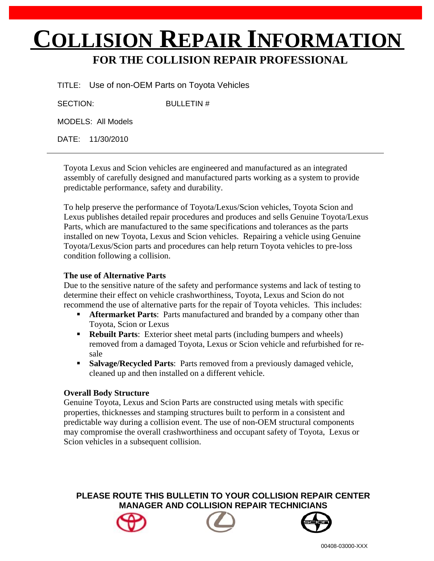# **COLLISION REPAIR INFORMATION**

# **FOR THE COLLISION REPAIR PROFESSIONAL**

TITLE: Use of non-OEM Parts on Toyota Vehicles

SECTION: BULLETIN #

MODELS: All Models

DATE: 11/30/2010

Toyota Lexus and Scion vehicles are engineered and manufactured as an integrated assembly of carefully designed and manufactured parts working as a system to provide predictable performance, safety and durability.

To help preserve the performance of Toyota/Lexus/Scion vehicles, Toyota Scion and Lexus publishes detailed repair procedures and produces and sells Genuine Toyota/Lexus Parts, which are manufactured to the same specifications and tolerances as the parts installed on new Toyota, Lexus and Scion vehicles. Repairing a vehicle using Genuine Toyota/Lexus/Scion parts and procedures can help return Toyota vehicles to pre-loss condition following a collision.

# **The use of Alternative Parts**

Due to the sensitive nature of the safety and performance systems and lack of testing to determine their effect on vehicle crashworthiness, Toyota, Lexus and Scion do not recommend the use of alternative parts for the repair of Toyota vehicles. This includes:

- **Aftermarket Parts:** Parts manufactured and branded by a company other than Toyota, Scion or Lexus
- **Rebuilt Parts:** Exterior sheet metal parts (including bumpers and wheels) removed from a damaged Toyota, Lexus or Scion vehicle and refurbished for resale
- **Salvage/Recycled Parts:** Parts removed from a previously damaged vehicle, cleaned up and then installed on a different vehicle.

# **Overall Body Structure**

Genuine Toyota, Lexus and Scion Parts are constructed using metals with specific properties, thicknesses and stamping structures built to perform in a consistent and predictable way during a collision event. The use of non-OEM structural components may compromise the overall crashworthiness and occupant safety of Toyota, Lexus or Scion vehicles in a subsequent collision.

**PLEASE ROUTE THIS BULLETIN TO YOUR COLLISION REPAIR CENTER MANAGER AND COLLISION REPAIR TECHNICIANS**